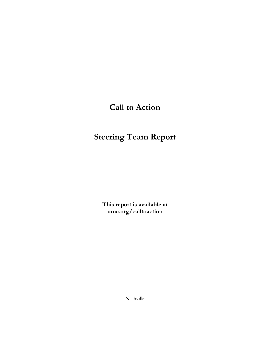# **Call to Action**

# **Steering Team Report**

**This report is available at umc.org/calltoaction**

Nashville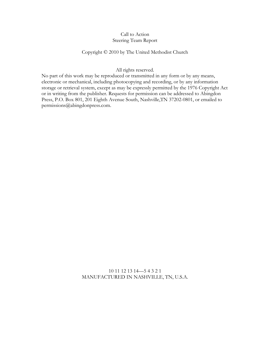#### Call to Action Steering Team Report

#### Copyright © 2010 by The United Methodist Church

#### All rights reserved.

No part of this work may be reproduced or transmitted in any form or by any means, electronic or mechanical, including photocopying and recording, or by any information storage or retrieval system, except as may be expressly permitted by the 1976 Copyright Act or in writing from the publisher. Requests for permission can be addressed to Abingdon Press, P.O. Box 801, 201 Eighth Avenue South, Nashville,TN 37202-0801, or emailed to permissions@abingdonpress.com.

> 10 11 12 13 14—5 4 3 2 1 MANUFACTURED IN NASHVILLE, TN, U.S.A.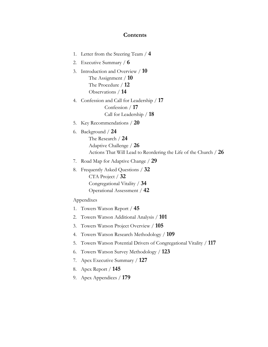# **Contents**

| 1. | Letter from the Steering Team / 4                                                                                                   |
|----|-------------------------------------------------------------------------------------------------------------------------------------|
| 2. | Executive Summary / $6$                                                                                                             |
| 3. | Introduction and Overview / 10<br>The Assignment $/ 10$<br>The Procedure $/$ 12<br>Observations / 14                                |
| 4. | Confession and Call for Leadership / 17<br>Confession $/17$<br>Call for Leadership / 18                                             |
| 5. | Key Recommendations $/ 20$                                                                                                          |
| 6. | Background / 24<br>The Research / 24<br>Adaptive Challenge / 26<br>Actions That Will Lead to Reordering the Life of the Church / 26 |
| 7. | Road Map for Adaptive Change / 29                                                                                                   |
| 8. | Frequently Asked Questions / 32<br>CTA Project $/$ 32<br>Congregational Vitality / 34<br>Operational Assessment / 42                |
|    | Appendixes                                                                                                                          |
| 1. | Towers Watson Report / 45                                                                                                           |
| 2. | Towers Watson Additional Analysis / 101                                                                                             |
| 3. | Towers Watson Project Overview / 105                                                                                                |
| 4. | Towers Watson Research Methodology / 109                                                                                            |
| 5. | Towers Watson Potential Drivers of Congregational Vitality / 117                                                                    |
| 6. | Towers Watson Survey Methodology / 123                                                                                              |
| 7. | Apex Executive Summary / 127                                                                                                        |
| 8. | Apex Report / <b>145</b>                                                                                                            |

9. Apex Appendices / **179**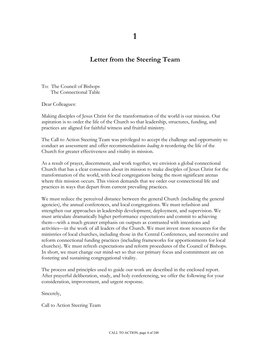**1** 

# **Letter from the Steering Team**

To: The Council of Bishops The Connectional Table

Dear Colleagues:

Making disciples of Jesus Christ for the transformation of the world is our mission. Our aspiration is to order the life of the Church so that leadership, structures, funding, and practices are aligned for faithful witness and fruitful ministry.

The Call to Action Steering Team was privileged to accept the challenge and opportunity to conduct an assessment and offer recommendations *leading to* reordering the life of the Church for greater effectiveness and vitality in mission.

As a result of prayer, discernment, and work together, we envision a global connectional Church that has a clear consensus about its mission to make disciples of Jesus Christ for the transformation of the world, with local congregations being the most significant arenas where this mission occurs. This vision demands that we order our connectional life and practices in ways that depart from current prevailing practices.

We must reduce the perceived distance between the general Church (including the general agencies), the annual conferences, and local congregations. We must refashion and strengthen our approaches in leadership development, deployment, and supervision. We must articulate dramatically higher performance expectations and commit to achieving them—with a much greater emphasis on outputs as contrasted with intentions and activities—in the work of all leaders of the Church. We must invest more resources for the ministries of local churches, including those in the Central Conferences, and reconceive and reform connectional funding practices (including frameworks for apportionments for local churches). We must refresh expectations and reform procedures of the Council of Bishops. In short, we must change our mind-set so that our primary focus and commitment are on fostering and sustaining congregational vitality.

The process and principles used to guide our work are described in the enclosed report. After prayerful deliberation, study, and holy conferencing, we offer the following for your consideration, improvement, and urgent response.

Sincerely,

Call to Action Steering Team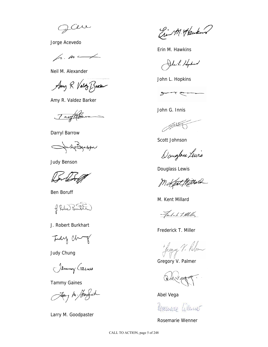Cere

Jorge Acevedo

 $\sqrt{n}$ .  $\sqrt{n}$ 

Neil M. Alexander

Any R. Valoty Barker

Amy R. Valdez Barker

Tarylin

Darryl Barrow

JudiBenson

Judy Benson

Per

Ben Boruff

f. Robert Bundler

J. Robert Burkhart

Judy Chry

Judy Chung

Jammy Gains

Tammy Gaines

Jay hi bodat

Larry M. Goodpaster

Ein M. Haukens

Erin M. Hawkins

John L Hyptian

John L. Hopkins



John G. Innis

**SALES** 

Scott Johnson

Daugher Lewis

Douglass Lewis

M Kent Millard

M. Kent Millard

Fredak to Meller

Frederick T. Miller

Hugy V. Palm

Gregory V. Palmer

 $M_{40}$ 

Abel Vega

Cosemaio Wenner

Rosemarie Wenner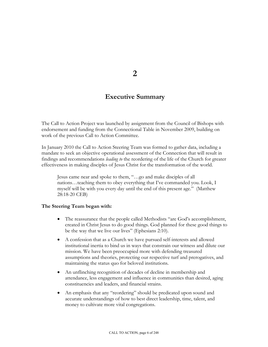**2** 

# **Executive Summary**

The Call to Action Project was launched by assignment from the Council of Bishops with endorsement and funding from the Connectional Table in November 2009, building on work of the previous Call to Action Committee.

In January 2010 the Call to Action Steering Team was formed to gather data, including a mandate to seek an objective operational assessment of the Connection that will result in findings and recommendations *leading to* the reordering of the life of the Church for greater effectiveness in making disciples of Jesus Christ for the transformation of the world.

Jesus came near and spoke to them, "…go and make disciples of all nations…teaching them to obey everything that I've commanded you. Look, I myself will be with you every day until the end of this present age." (Matthew 28:18-20 CEB)

#### **The Steering Team began with:**

- The reassurance that the people called Methodists "are God's accomplishment, created in Christ Jesus to do good things. God planned for these good things to be the way that we live our lives" (Ephesians 2:10).
- A confession that as a Church we have pursued self-interests and allowed institutional inertia to bind us in ways that constrain our witness and dilute our mission. We have been preoccupied more with defending treasured assumptions and theories, protecting our respective turf and prerogatives, and maintaining the status quo for beloved institutions.
- An unflinching recognition of decades of decline in membership and attendance, less engagement and influence in communities than desired, aging constituencies and leaders, and financial strains.
- An emphasis that any "reordering" should be predicated upon sound and accurate understandings of how to best direct leadership, time, talent, and money to cultivate more vital congregations.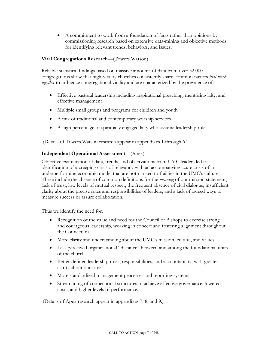• A commitment to work from a foundation of facts rather than opinions by commissioning research based on extensive data-mining and objective methods for identifying relevant trends, behaviors, and issues.

#### **Vital Congregations Research**—(Towers Watson)

Reliable statistical findings based on massive amounts of data from over 32,000 congregations show that high-vitality churches consistently share common factors *that work together* to influence congregational vitality and are characterized by the prevalence of:

- Effective pastoral leadership including inspirational preaching, mentoring laity, and effective management
- Multiple small groups and programs for children and youth
- A mix of traditional and contemporary worship services
- A high percentage of spiritually engaged laity who assume leadership roles

(Details of Towers Watson research appear in appendixes 1 through 6.)

#### **Independent Operational Assessment**—(Apex)

Objective examination of data, trends, and observations from UMC leaders led to identification of a creeping crisis of relevancy with an accompanying acute crisis of an underperforming economic model that are both linked to frailties in the UMC's culture. These include the absence of common definitions for the *meaning* of our mission statement, lack of trust, low levels of mutual respect, the frequent absence of civil dialogue, insufficient clarity about the precise roles and responsibilities of leaders, and a lack of agreed ways to measure success or assure collaboration.

Thus we identify the need for:

- Recognition of the value and need for the Council of Bishops to exercise strong and courageous leadership, working in concert and fostering alignment throughout the Connection
- More clarity and understanding about the UMC's mission, culture, and values
- Less perceived organizational "distance" between and among the foundational units of the church
- Better-defined leadership roles, responsibilities, and accountability; with greater clarity about outcomes
- More standardized management processes and reporting systems
- Streamlining of connectional structures to achieve effective governance, lowered costs, and higher levels of performance.

(Details of Apex research appear in appendixes 7, 8, and 9.)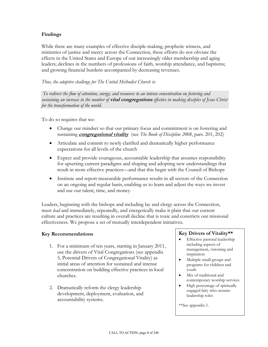#### **Findings**

While there are many examples of effective disciple-making, prophetic witness, and ministries of justice and mercy across the Connection, these efforts do not obviate the effects in the United States and Europe of our increasingly older membership and aging leaders; declines in the numbers of professions of faith, worship attendance, and baptisms; and growing financial burdens accompanied by decreasing revenues.

*Thus, the adaptive challenge for The United Methodist Church is*:

*To redirect the flow of attention, energy, and resources to an intense concentration on fostering and sustaining an increase in the number of* **vital congregations** *effective in making disciples of Jesus Christ for the transformation of the world.*

To do so requires that we:

- Change our mindset so that our primary focus and commitment is on fostering and sustaining **congregational vitality** (see *The Book of Discipline 2008*, pars. 201, 202)
- Articulate and commit to newly clarified and dramatically higher performance expectations for all levels of the church
- Expect and provide courageous, accountable leadership that assumes responsibility for upsetting current paradigms and shaping and adopting new understandings that result in more effective practices—and that this begin with the Council of Bishops
- Institute and report measurable performance results in all sectors of the Connection on an ongoing and regular basis, enabling us to learn and adjust the ways we invest and use our talent, time, and money.

Leaders, beginning with the bishops and including lay and clergy across the Connection, must *lead* and immediately, repeatedly, and energetically make it plain that our current culture and practices are resulting in overall decline that is toxic and constricts our missional effectiveness. We propose a set of mutually interdependent initiatives.

#### **Key Recommendations**

- 1. For a minimum of ten years, starting in January 2011, use the drivers of Vital Congregations (see appendix 5, Potential Drivers of Congregational Vitality) as initial areas of attention for sustained and intense concentration on building effective practices in local churches.
- 2. Dramatically reform the clergy leadership development, deployment, evaluation, and accountability systems.

#### **Key Drivers of Vitality\*\***

- Effective pastoral leadership including aspects of management, visioning and inspiration
- Multiple small groups and programs for children and youth
- Mix of traditional and contemporary worship services
- High percentage of spiritually engaged laity who assume leadership roles

\*\*See appendix 1.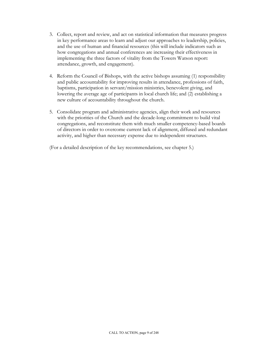- 3. Collect, report and review, and act on statistical information that measures progress in key performance areas to learn and adjust our approaches to leadership, policies, and the use of human and financial resources (this will include indicators such as how congregations and annual conferences are increasing their effectiveness in implementing the three factors of vitality from the Towers Watson report: attendance, growth, and engagement).
- 4. Reform the Council of Bishops, with the active bishops assuming (1) responsibility and public accountability for improving results in attendance, professions of faith, baptisms, participation in servant/mission ministries, benevolent giving, and lowering the average age of participants in local church life; and (2) establishing a new culture of accountability throughout the church.
- 5. Consolidate program and administrative agencies, align their work and resources with the priorities of the Church and the decade-long commitment to build vital congregations, and reconstitute them with much smaller competency-based boards of directors in order to overcome current lack of alignment, diffused and redundant activity, and higher than necessary expense due to independent structures.

(For a detailed description of the key recommendations, see chapter 5.)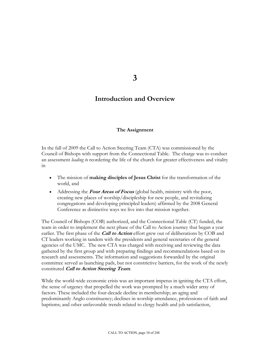**3** 

# **Introduction and Overview**

#### **The Assignment**

In the fall of 2009 the Call to Action Steering Team (CTA) was commissioned by the Council of Bishops with support from the Connectional Table. The charge was to conduct an assessment *leading to* reordering the life of the church for greater effectiveness and vitality in

- The mission of **making disciples of Jesus Christ** for the transformation of the world, and
- Addressing the **Four Areas of Focus** (global health, ministry with the poor, creating new places of worship/discipleship for new people, and revitalizing congregations and developing principled leaders) affirmed by the 2008 General Conference as distinctive ways we live into that mission together.

The Council of Bishops (COB) authorized, and the Connectional Table (CT) funded, the team in order to implement the next phase of the Call to Action journey that began a year earlier. The first phase of the **Call to Action** effort grew out of deliberations by COB and CT leaders working in tandem with the presidents and general secretaries of the general agencies of the UMC. The new CTA was charged with receiving and reviewing the data gathered by the first group and with preparing findings and recommendations based on its research and assessments. The information and suggestions forwarded by the original committee served as launching pads, but not constrictive barriers, for the work of the newly constituted **Call to Action Steering Team**.

While the world-wide economic crisis was an important impetus in igniting the CTA effort, the sense of urgency that propelled the work was prompted by a much wider array of factors. These included the four-decade decline in membership; an aging and predominantly Anglo constituency; declines in worship attendance, professions of faith and baptisms; and other unfavorable trends related to clergy health and job satisfaction,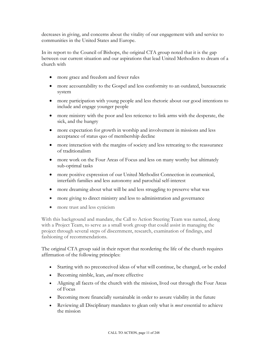decreases in giving, and concerns about the vitality of our engagement with and service to communities in the United States and Europe.

In its report to the Council of Bishops, the original CTA group noted that it is the gap between our current situation and our aspirations that lead United Methodists to dream of a church with

- more grace and freedom and fewer rules
- more accountability to the Gospel and less conformity to an outdated, bureaucratic system
- more participation with young people and less rhetoric about our good intentions to include and engage younger people
- more ministry with the poor and less reticence to link arms with the desperate, the sick, and the hungry
- more expectation for growth in worship and involvement in missions and less acceptance of status quo of membership decline
- more interaction with the margins of society and less retreating to the reassurance of traditionalism
- more work on the Four Areas of Focus and less on many worthy but ultimately sub-optimal tasks
- more positive expression of our United Methodist Connection in ecumenical, interfaith families and less autonomy and parochial self-interest
- more dreaming about what will be and less struggling to preserve what was
- more giving to direct ministry and less to administration and governance
- more trust and less cynicism

With this background and mandate, the Call to Action Steering Team was named, along with a Project Team, to serve as a small work group that could assist in managing the project through several steps of discernment, research, examination of findings, and fashioning of recommendations.

The original CTA group said in their report that reordering the life of the church requires affirmation of the following principles:

- Starting with no preconceived ideas of what will continue, be changed, or be ended
- Becoming nimble, lean, *and* more effective
- Aligning all facets of the church with the mission, lived out through the Four Areas of Focus
- Becoming more financially sustainable in order to assure viability in the future
- Reviewing all Disciplinary mandates to glean only what is *most* essential to achieve the mission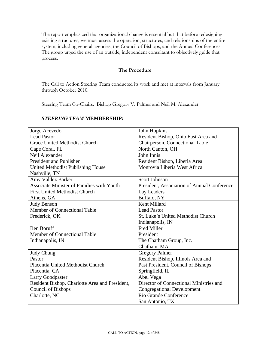The report emphasized that organizational change is essential but that before redesigning existing structures, we must assess the operation, structures, and relationships of the entire system, including general agencies, the Council of Bishops, and the Annual Conferences. The group urged the use of an outside, independent consultant to objectively guide that process.

#### **The Procedure**

The Call to Action Steering Team conducted its work and met at intervals from January through October 2010.

Steering Team Co-Chairs: Bishop Gregory V. Palmer and Neil M. Alexander.

| Jorge Acevedo                                    | John Hopkins                                |
|--------------------------------------------------|---------------------------------------------|
| <b>Lead Pastor</b>                               | Resident Bishop, Ohio East Area and         |
| <b>Grace United Methodist Church</b>             | Chairperson, Connectional Table             |
| Cape Coral, FL                                   | North Canton, OH                            |
| Neil Alexander                                   | John Innis                                  |
| President and Publisher                          | Resident Bishop, Liberia Area               |
| United Methodist Publishing House                | Monrovia Liberia West Africa                |
| Nashville, TN                                    |                                             |
| Amy Valdez Barker                                | Scott Johnson                               |
| <b>Associate Minister of Families with Youth</b> | President, Association of Annual Conference |
| <b>First United Methodist Church</b>             | Lay Leaders                                 |
| Athens, GA                                       | Buffalo, NY                                 |
| <b>Judy Benson</b>                               | Kent Millard                                |
| Member of Connectional Table                     | <b>Lead Pastor</b>                          |
| Frederick, OK                                    | St. Luke's United Methodist Church          |
|                                                  | Indianapolis, IN                            |
| <b>Ben Boruff</b>                                | <b>Fred Miller</b>                          |
| Member of Connectional Table                     | President                                   |
| Indianapolis, IN                                 | The Chatham Group, Inc.                     |
|                                                  | Chatham, MA                                 |
| <b>Judy Chung</b>                                | <b>Gregory Palmer</b>                       |
| Pastor                                           | Resident Bishop, Illinois Area and          |
| Placentia United Methodist Church                | Past President, Council of Bishops          |
| Placentia, CA                                    | Springfield, IL                             |
| <b>Larry Goodpaster</b>                          | Abel Vega                                   |
| Resident Bishop, Charlotte Area and President,   | Director of Connectional Ministries and     |
| <b>Council of Bishops</b>                        | <b>Congregational Development</b>           |
| Charlotte, NC                                    | Rio Grande Conference                       |
|                                                  | San Antonio, TX                             |

#### *STEERING TEAM* **MEMBERSHIP:**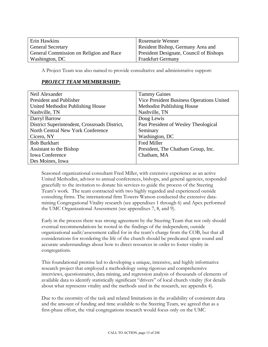| Erin Hawkins                            | Rosemarie Wenner                        |
|-----------------------------------------|-----------------------------------------|
| <b>General Secretary</b>                | Resident Bishop, Germany Area and       |
| General Commission on Religion and Race | President Designate, Council of Bishops |
| Washington, DC                          | <b>Frankfurt Germany</b>                |

A Project Team was also named to provide consultative and administrative support:

#### *PROJECT TEAM* **MEMBERSHIP:**

| Neil Alexander                                | <b>Tammy Gaines</b>                       |
|-----------------------------------------------|-------------------------------------------|
| President and Publisher                       | Vice President Business Operations United |
| United Methodist Publishing House             | Methodist Publishing House                |
| Nashville, TN                                 | Nashville, TN                             |
| Darryl Barrow                                 | Doug Lewis                                |
| District Superintendent, Crossroads District, | Past President of Wesley Theological      |
| North Central New York Conference             | Seminary                                  |
| Cicero, NY                                    | Washington, DC                            |
| <b>Bob Burkhart</b>                           | <b>Fred Miller</b>                        |
| Assistant to the Bishop                       | President, The Chatham Group, Inc.        |
| <b>Iowa Conference</b>                        | Chatham, MA                               |
| Des Moines, Iowa                              |                                           |

Seasoned organizational consultant Fred Miller, with extensive experience as an active United Methodist, advisor to annual conferences, bishops, and general agencies, responded gracefully to the invitation to donate his services to guide the process of the Steering Team's work. The team contracted with two highly regarded and experienced outside consulting firms. The international firm Towers Watson conducted the extensive datamining Congregational Vitality research (see appendixes 1 through 6) and Apex performed the UMC Organizational Assessment (see appendixes 7, 8, and 9).

Early in the process there was strong agreement by the Steering Team that not only should eventual recommendations be rooted in the findings of the independent, outside organizational audit/assessment called for in the team's charge from the COB, but that all considerations for reordering the life of the church should be predicated upon sound and accurate understandings about how to direct resources in order to foster vitality in congregations.

This foundational premise led to developing a unique, intensive, and highly informative research project that employed a methodology using rigorous and comprehensive interviews, questionnaires, data mining, and regression analysis of thousands of elements of available data to identify statistically significant "drivers" of local church vitality (for details about what represents vitality and the methods used in the research, see appendix 4).

Due to the enormity of the task and related limitations in the availability of consistent data and the amount of funding and time available to the Steering Team, we agreed that as a first-phase effort, the vital congregations research would focus only on the UMC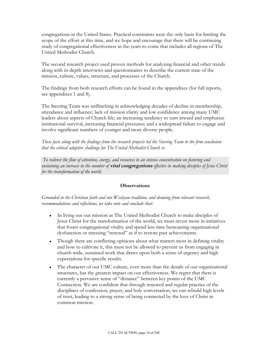congregations in the United States. Practical constraints were the only basis for limiting the scope of the effort at this time, and we hope and encourage that there will be continuing study of congregational effectiveness in the years to come that includes all regions of The United Methodist Church.

The second research project used proven methods for analyzing financial and other trends along with in-depth interviews and questionnaires to describe the current state of the mission, culture, values, structure, and processes of the Church.

The findings from both research efforts can be found in the appendixes (for full reports, see appendixes 1 and 8).

The Steering Team was unflinching in acknowledging decades of decline in membership, attendance and influence; lack of mission clarity and low confidence among many UMC leaders about aspects of Church life; an increasing tendency to turn inward and emphasize institutional survival, increasing financial pressures; and a widespread failure to engage and involve significant numbers of younger and more diverse people.

*These facts along with the findings from the research projects led the Steering Team to the firm conclusion that the critical adaptive challenge for The United Methodist Church is:* 

*To redirect the flow of attention, energy, and resources to an intense concentration on fostering and sustaining an increase in the number of* **vital congregations** *effective in making disciples of Jesus Christ for the transformation of the world.*

#### **Observations**

*Grounded in the Christian faith and our Wesleyan tradition, and drawing from relevant research, recommendations and reflections, we take note and conclude that:* 

- In living out our mission as The United Methodist Church to make disciples of Jesus Christ for the transformation of the world, we must invest more in initiatives that foster congregational vitality and spend less time bemoaning organizational dysfunction or stressing "renewal" as if to restore past achievements.
- Though there are conflicting opinions about what matters most in defining vitality and how to cultivate it, this must not be allowed to prevent us from engaging in church-wide, sustained work that draws upon both a sense of urgency and high expectations for specific results.
- The character of our UMC culture, even more than the details of our organizational structures, has the greatest impact on our effectiveness. We regret that there is currently a pervasive sense of "distance" between key points of the UMC Connection. We are confident that through renewed and regular practice of the disciplines of confession, prayer, and holy conversation, we can rebuild high levels of trust, leading to a strong sense of being connected by the love of Christ in common mission.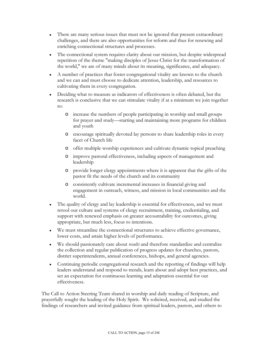- There are many serious issues that must not be ignored that present extraordinary challenges, and there are also opportunities for reform and thus for renewing and enriching connectional structures and processes.
- The connectional system requires clarity about our mission, but despite widespread repetition of the theme "making disciples of Jesus Christ for the transformation of the world," we are of many minds about its meaning, significance, and adequacy.
- A number of practices that foster congregational vitality are known to the church and we can and must choose to dedicate attention, leadership, and resources to cultivating them in every congregation.
- Deciding what to measure as indicators of effectiveness is often debated, but the research is conclusive that we can stimulate vitality if at a minimum we join together to:
	- o increase the numbers of people participating in worship and small groups for prayer and study—starting and maintaining more programs for children and youth
	- o encourage spiritually devoted lay persons to share leadership roles in every facet of Church life
	- o offer multiple worship experiences and cultivate dynamic topical preaching
	- o improve pastoral effectiveness, including aspects of management and leadership
	- o provide longer clergy appointments where it is apparent that the gifts of the pastor fit the needs of the church and its community
	- o consistently cultivate incremental increases in financial giving and engagement in outreach, witness, and mission in local communities and the world.
- The quality of clergy and lay leadership is essential for effectiveness, and we must retool our culture and systems of clergy recruitment, training, credentialing, and support with renewed emphasis on greater accountability for outcomes, giving appropriate, but much less, focus to intentions.
- We must streamline the connectional structures to achieve effective governance, lower costs, and attain higher levels of performance.
- We should passionately care about *results* and therefore standardize and centralize the collection and regular publication of progress updates for churches, pastors, district superintendents, annual conferences, bishops, and general agencies.
- Continuing periodic congregational research and the reporting of findings will help leaders understand and respond to trends, learn about and adopt best practices, and set an expectation for continuous learning and adaptation essential for our effectiveness.

The Call to Action Steering Team shared in worship and daily reading of Scripture, and prayerfully sought the leading of the Holy Spirit. We solicited, received, and studied the findings of researchers and invited guidance from spiritual leaders, pastors, and others to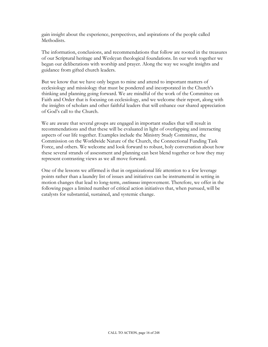gain insight about the experience, perspectives, and aspirations of the people called Methodists.

The information, conclusions, and recommendations that follow are rooted in the treasures of our Scriptural heritage and Wesleyan theological foundations. In our work together we began our deliberations with worship and prayer. Along the way we sought insights and guidance from gifted church leaders.

But we know that we have only begun to mine and attend to important matters of ecclesiology and missiology that must be pondered and incorporated in the Church's thinking and planning going forward. We are mindful of the work of the Committee on Faith and Order that is focusing on ecclesiology, and we welcome their report, along with the insights of scholars and other faithful leaders that will enhance our shared appreciation of God's call to the Church.

We are aware that several groups are engaged in important studies that will result in recommendations and that these will be evaluated in light of overlapping and interacting aspects of our life together. Examples include the Ministry Study Committee, the Commission on the Worldwide Nature of the Church, the Connectional Funding Task Force, and others. We welcome and look forward to robust, holy conversation about how these several strands of assessment and planning can best blend together or how they may represent contrasting views as we all move forward.

One of the lessons we affirmed is that in organizational life attention to a few leverage points rather than a laundry list of issues and initiatives can be instrumental in setting in motion changes that lead to long-term, *continuous* improvement. Therefore, we offer in the following pages a limited number of critical action initiatives that, when pursued, will be catalysts for substantial, sustained, and systemic change.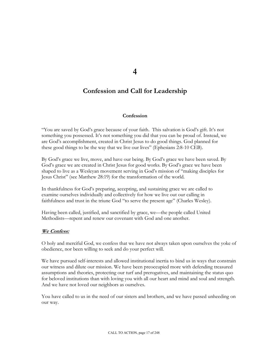**4** 

# **Confession and Call for Leadership**

#### **Confession**

"You are saved by God's grace because of your faith. This salvation is God's gift. It's not something you possessed. It's not something you did that you can be proud of. Instead, we are God's accomplishment, created in Christ Jesus to do good things. God planned for these good things to be the way that we live our lives" (Ephesians 2:8-10 CEB).

By God's grace we live, move, and have our being. By God's grace we have been saved. By God's grace we are created in Christ Jesus for good works. By God's grace we have been shaped to live as a Wesleyan movement serving in God's mission of "making disciples for Jesus Christ" (see Matthew 28:19) for the transformation of the world.

In thankfulness for God's preparing, accepting, and sustaining grace we are called to examine ourselves individually and collectively for how we live out our calling in faithfulness and trust in the triune God "to serve the present age" (Charles Wesley).

Having been called, justified, and sanctified by grace, we—the people called United Methodists—repent and renew our covenant with God and one another.

#### **We Confess:**

O holy and merciful God, we confess that we have not always taken upon ourselves the yoke of obedience, nor been willing to seek and do your perfect will.

We have pursued self-interests and allowed institutional inertia to bind us in ways that constrain our witness and dilute our mission. We have been preoccupied more with defending treasured assumptions and theories, protecting our turf and prerogatives, and maintaining the status quo for beloved institutions than with loving you with all our heart and mind and soul and strength. And we have not loved our neighbors as ourselves.

You have called to us in the need of our sisters and brothers, and we have passed unheeding on our way.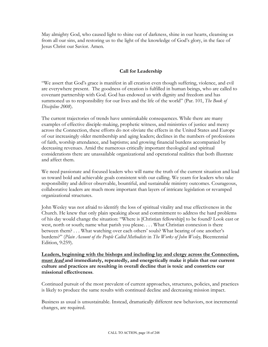May almighty God, who caused light to shine out of darkness, shine in our hearts, cleansing us from all our sins, and restoring us to the light of the knowledge of God's glory, in the face of Jesus Christ our Savior. Amen.

#### **Call for Leadership**

"We assert that God's grace is manifest in all creation even though suffering, violence, and evil are everywhere present. The goodness of creation is fulfilled in human beings, who are called to covenant partnership with God. God has endowed us with dignity and freedom and has summoned us to responsibility for our lives and the life of the world" (Par. 101, *The Book of Discipline 2008*).

The current trajectories of trends have unmistakable consequences. While there are many examples of effective disciple-making, prophetic witness, and ministries of justice and mercy across the Connection, these efforts do not obviate the effects in the United States and Europe of our increasingly older membership and aging leaders; declines in the numbers of professions of faith, worship attendance, and baptisms; and growing financial burdens accompanied by decreasing revenues. Amid the numerous critically important theological and spiritual considerations there are unassailable organizational and operational realities that both illustrate and affect them.

We need passionate and focused leaders who will name the truth of the current situation and lead us toward bold and achievable goals consistent with our calling. We yearn for leaders who take responsibility and deliver observable, bountiful, and sustainable ministry outcomes. Courageous, collaborative leaders are much more important than layers of intricate legislation or revamped organizational structures.

John Wesley was not afraid to identify the loss of spiritual vitality and true effectiveness in the Church. He knew that only plain speaking about and commitment to address the hard problems of his day would change the situation: "Where is [Christian fellowship] to be found? Look east or west, north or south; name what parish you please. . . . What Christian connexion is there between them? . . . What watching over each others' souls? What bearing of one another's burdens?" (*Plain Account of the People Called Methodists* in *The Works of John Wesley,* Bicentennial Edition, 9:259).

**Leaders, beginning with the bishops and including lay and clergy across the Connection, must lead and immediately, repeatedly, and energetically make it plain that our current culture and practices are resulting in overall decline that is toxic and constricts our missional effectiveness**.

Continued pursuit of the most prevalent of current approaches, structures, policies, and practices is likely to produce the same results with continued decline and decreasing mission impact.

Business as usual is unsustainable. Instead, dramatically different new behaviors, not incremental changes, are required.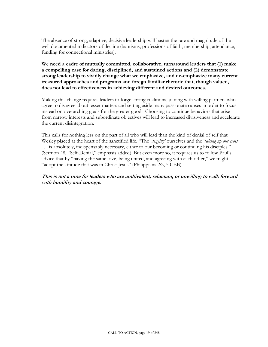The absence of strong, adaptive, decisive leadership will hasten the rate and magnitude of the well documented indicators of decline (baptisms, professions of faith, membership, attendance, funding for connectional ministries).

**We need a cadre of mutually committed, collaborative, turnaround leaders that (1) make a compelling case for daring, disciplined, and sustained actions and (2) demonstrate strong leadership to vividly change what we emphasize, and de-emphasize many current treasured approaches and programs and forego familiar rhetoric that, though valued, does not lead to effectiveness in achieving different and desired outcomes.** 

Making this change requires leaders to forge strong coalitions, joining with willing partners who agree to disagree about lesser matters and setting aside many passionate causes in order to focus instead on overarching goals for the greater good. Choosing to continue behaviors that arise from narrow interests and subordinate objectives will lead to increased divisiveness and accelerate the current disintegration.

This calls for nothing less on the part of all who will lead than the kind of denial of self that Wesley placed at the heart of the sanctified life. "The '*denying'* ourselves and the '*taking up our cross'* . . . is absolutely, indispensably necessary, either to our becoming or continuing his disciples." (Sermon 48, "Self-Denial," emphasis added). But even more so, it requires us to follow Paul's advice that by "having the same love, being united, and agreeing with each other," we might "adopt the attitude that was in Christ Jesus" (Philippians 2:2, 5 CEB).

**This is not a time for leaders who are ambivalent, reluctant, or unwilling to walk forward with humility and courage.**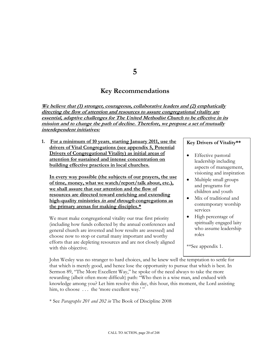## **5**

# **Key Recommendations**

We believe that (1) stronger, courageous, collaborative leaders and (2) emphatically **directing the flow of attention and resources to assure congregational vitality are essential, adaptive challenges for The United Methodist Church to be effective in its mission and to change the path of decline. Therefore, we propose a set of mutually interdependent initiatives:** 

**1. For a minimum of 10 years**, **starting January 2011, use the drivers of Vital Congregations (see appendix 5, Potential Drivers of Congregational Vitality) as initial areas of attention for sustained and intense concentration on building effective practices in local churches.** 

**In every way possible (the subjects of our prayers, the use of time, money, what we watch/report/talk about, etc.), we shall assure that our attention and the flow of resources are directed toward enriching and extending high-quality ministries in and through congregations as the primary arenas for making disciples.\***

We must make congregational vitality our true first priority (including how funds collected by the annual conferences and general church are invested and how results are assessed) and choose now to stop or curtail many important and worthy efforts that are depleting resources and are not closely aligned with this objective.

#### **Key Drivers of Vitality\*\***

- Effective pastoral leadership including aspects of management, visioning and inspiration
- Multiple small groups and programs for children and youth
- Mix of traditional and contemporary worship services
- High percentage of spiritually engaged laity who assume leadership roles

\*\*See appendix 1.

John Wesley was no stranger to hard choices, and he knew well the temptation to settle for that which is merely good, and hence lose the opportunity to pursue that which is best. In Sermon 89, "The More Excellent Way," he spoke of the need always to take the more rewarding (albeit often more difficult) path: "Who then is a wise man, and endued with knowledge among you? Let him resolve this day, this hour, this moment, the Lord assisting him, to choose ... the 'more excellent way.' "

\* See *Paragraphs 201 and 202 in* The Book of Discipline 2008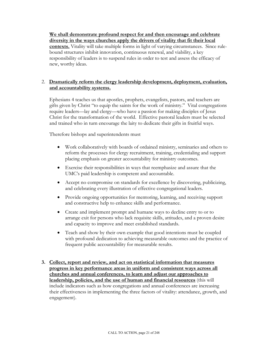**We shall demonstrate profound respect for and then encourage and celebrate diversity in the ways churches apply the drivers of vitality that fit their local contexts.** Vitality will take multiple forms in light of varying circumstances. Since rulebound structures inhibit innovation, continuous renewal, and viability, a key responsibility of leaders is to suspend rules in order to test and assess the efficacy of new, worthy ideas.

#### 2. **Dramatically reform the clergy leadership development, deployment, evaluation, and accountability systems.**

Ephesians 4 teaches us that apostles, prophets, evangelists, pastors, and teachers are gifts given by Christ "to equip the saints for the work of ministry." Vital congregations require leaders—lay and clergy—who have a passion for making disciples of Jesus Christ for the transformation of the world. Effective pastoral leaders must be selected and trained who in turn encourage the laity to dedicate their gifts in fruitful ways.

Therefore bishops and superintendents must

- Work collaboratively with boards of ordained ministry, seminaries and others to reform the processes for clergy recruitment, training, credentialing and support placing emphasis on greater accountability for ministry outcomes.
- Exercise their responsibilities in ways that reemphasize and assure that the UMC's paid leadership is competent and accountable.
- Accept no compromise on standards for excellence by discovering, publicizing, and celebrating every illustration of effective congregational leaders.
- Provide ongoing opportunities for mentoring, learning, and receiving support and constructive help to enhance skills and performance.
- Create and implement prompt and humane ways to decline entry to or to arrange exit for persons who lack requisite skills, attitudes, and a proven desire and capacity to improve and meet established standards.
- Teach and show by their own example that good intentions must be coupled with profound dedication to achieving measurable outcomes and the practice of frequent public accountability for measurable results.
- **3. Collect, report and review, and act on statistical information that measures progress in key performance areas in uniform and consistent ways across all churches and annual conferences, to learn and adjust our approaches to leadership, policies, and the use of human and financial resources** (this will include indicators such as how congregations and annual conferences are increasing their effectiveness in implementing the three factors of vitality: attendance, growth, and engagement).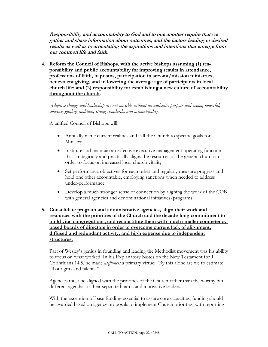**Responsibility and accountability to God and to one another require that we gather and share information about outcomes, and the factors leading to desired results as well as to articulating the aspirations and intentions that emerge from our common life and faith.** 

**4. Reform the Council of Bishops, with the active bishops assuming (1) responsibility and public accountability for improving results in attendance, professions of faith, baptisms, participation in servant/mission ministries, benevolent giving, and in lowering the average age of participants in local church life; and (2) responsibility for establishing a new culture of accountability throughout the church.** 

*Adaptive change and leadership are not possible without an authentic purpose and vision; powerful, cohesive, guiding coalition; strong standards, and accountability.*

A unified Council of Bishops will:

- Annually name current realities and call the Church to specific goals for Ministry
- Institute and maintain an effective executive management operating function that strategically and practically aligns the resources of the general church in order to focus on increased local church vitality
- Set performance objectives for each other and regularly measure progress and hold one other accountable, employing sanctions when needed to address under-performance
- Develop a much stronger sense of connection by aligning the work of the COB with general agencies and denominational initiatives/programs.

#### **5. Consolidate program and administrative agencies, align their work and resources with the priorities of the Church and the decade-long commitment to build vital congregations, and reconstitute them with much smaller competencybased boards of directors in order to overcome current lack of alignment, diffused and redundant activity, and high expense due to independent structures.**

Part of Wesley's genius in founding and leading the Methodist movement was his ability to focus on what worked. In his Explanatory Notes on the New Testament for 1 Corinthians 14:5, he made *usefulness* a primary virtue: "By this alone are we to estimate all our gifts and talents."

Agencies must be aligned with the priorities of the Church rather than the worthy but different agendas of their separate boards and innovative leaders.

With the exception of base funding essential to assure core capacities, funding should be awarded based on agency proposals to implement Church priorities, with reporting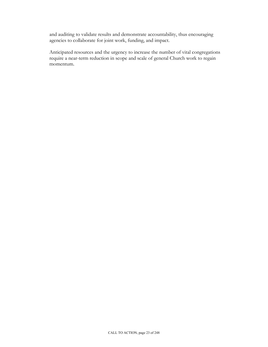and auditing to validate results and demonstrate accountability, thus encouraging agencies to collaborate for joint work, funding, and impact.

Anticipated resources and the urgency to increase the number of vital congregations require a near-term reduction in scope and scale of general Church work to regain momentum.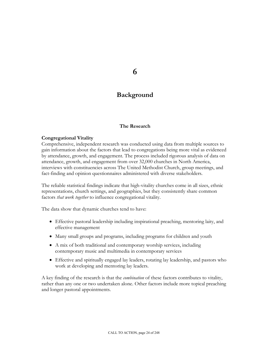## **6**

# **Background**

#### **The Research**

#### **Congregational Vitality**

Comprehensive, independent research was conducted using data from multiple sources to gain information about the factors that lead to congregations being more vital as evidenced by attendance, growth, and engagement. The process included rigorous analysis of data on attendance, growth, and engagement from over 32,000 churches in North America, interviews with constituencies across The United Methodist Church, group meetings, and fact-finding and opinion questionnaires administered with diverse stakeholders.

The reliable statistical findings indicate that high-vitality churches come in all sizes, ethnic representations, church settings, and geographies, but they consistently share common factors *that work together* to influence congregational vitality.

The data show that dynamic churches tend to have:

- Effective pastoral leadership including inspirational preaching, mentoring laity, and effective management
- Many small groups and programs, including programs for children and youth
- A mix of both traditional and contemporary worship services, including contemporary music and multimedia in contemporary services
- Effective and spiritually engaged lay leaders, rotating lay leadership, and pastors who work at developing and mentoring lay leaders.

A key finding of the research is that the *combination* of these factors contributes to vitality, rather than any one or two undertaken alone. Other factors include more topical preaching and longer pastoral appointments.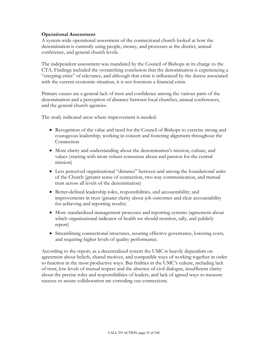#### **Operational Assessment**

A system-wide operational assessment of the connectional church looked at how the denomination is currently using people, money, and processes at the district, annual conference, and general church levels.

The independent assessment was mandated by the Council of Bishops in its charge to the CTA. Findings included the overarching conclusion that the denomination is experiencing a "creeping crisis" of relevance, and although that crisis is influenced by the duress associated with the current economic situation, it is not foremost a financial crisis.

Primary causes are a general lack of trust and confidence among the various parts of the denomination and a perception of distance between local churches, annual conferences, and the general church agencies.

The study indicated areas where improvement is needed:

- Recognition of the value and need for the Council of Bishops to exercise strong and courageous leadership, working in concert and fostering alignment throughout the Connection
- More clarity and understanding about the denomination's mission, culture, and values (starting with more robust consensus about and passion for the central mission)
- Less perceived organizational "distance" between and among the foundational units of the Church (greater sense of connection, two-way communication, and mutual trust across all levels of the denomination)
- Better-defined leadership roles, responsibilities, and accountability; and improvements in trust (greater clarity about job outcomes and clear accountability for achieving and reporting results)
- More standardized management processes and reporting systems (agreement about which organizational indicator of health we should monitor, tally, and publicly report)
- Streamlining connectional structures, assuring effective governance, lowering costs, and requiring higher levels of quality performance.

According to the report, as a decentralized system the UMC is heavily dependent on agreement about beliefs, shared motives, and compatible ways of working together in order to function in the most productive ways. But frailties in the UMC's culture, including lack of trust, low levels of mutual respect and the absence of civil dialogue, insufficient clarity about the precise roles and responsibilities of leaders, and lack of agreed ways to measure success or assure collaboration are corroding our connections.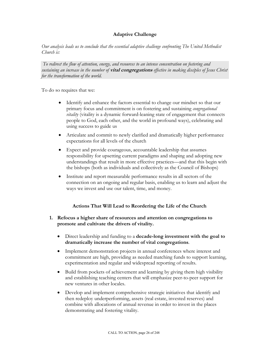#### **Adaptive Challenge**

*Our analysis leads us to conclude that the essential adaptive challenge confronting The United Methodist Church is:* 

*To redirect the flow of attention, energy, and resources to an intense concentration on fostering and sustaining an increase in the number of* **vital congregations** *effective in making disciples of Jesus Christ for the transformation of the world.*

To do so requires that we:

- Identify and enhance the factors essential to change our mindset so that our primary focus and commitment is on fostering and sustaining *congregational vitality* (vitality is a dynamic forward-leaning state of engagement that connects people to God, each other, and the world in profound ways), celebrating and using success to guide us
- Articulate and commit to newly clarified and dramatically higher performance expectations for all levels of the church
- Expect and provide courageous, accountable leadership that assumes responsibility for upsetting current paradigms and shaping and adopting new understandings that result in more effective practices—and that this begin with the bishops (both as individuals and collectively as the Council of Bishops)
- Institute and report measurable performance results in all sectors of the connection on an ongoing and regular basis, enabling us to learn and adjust the ways we invest and use our talent, time, and money.

#### **Actions That Will Lead to Reordering the Life of the Church**

- **1. Refocus a higher share of resources and attention on congregations to promote and cultivate the drivers of vitality.** 
	- Direct leadership and funding to a **decade-long investment with the goal to dramatically increase the number of vital congregations**.
	- Implement demonstration projects in annual conferences where interest and commitment are high, providing as needed matching funds to support learning, experimentation and regular and widespread reporting of results.
	- Build from pockets of achievement and learning by giving them high visibility and establishing teaching centers that will emphasize peer-to-peer support for new ventures in other locales.
	- Develop and implement comprehensive strategic initiatives that identify and then redeploy underperforming, assets (real estate, invested reserves) and combine with allocations of annual revenue in order to invest in the places demonstrating and fostering vitality.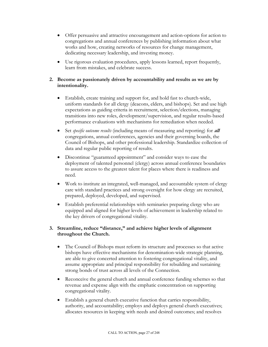- Offer persuasive and attractive encouragement and action-options for action to congregations and annual conferences by publishing information about what works and how, creating networks of resources for change management, dedicating necessary leadership, and investing money.
- Use rigorous evaluation procedures, apply lessons learned, report frequently, learn from mistakes, and celebrate success.

#### **2. Become as passionately driven by accountability and results as we are by intentionality.**

- Establish, create training and support for, and hold fast to church-wide, uniform standards for all clergy (deacons, elders, and bishops). Set and use high expectations as guiding criteria in recruitment, selection/elections, managing transitions into new roles, development/supervision, and regular results-based performance evaluations with mechanisms for remediation when needed.
- Set *specific outcome results* (including means of measuring and reporting) for **all** congregations, annual conferences, agencies and their governing boards, the Council of Bishops, and other professional leadership. Standardize collection of data and regular public reporting of results.
- Discontinue "guaranteed appointment" and consider ways to ease the deployment of talented personnel (clergy) across annual conference boundaries to assure access to the greatest talent for places where there is readiness and need.
- Work to institute an integrated, well-managed, and accountable system of clergy care with standard practices and strong oversight for how clergy are recruited, prepared, deployed, developed, and supervised.
- Establish preferential relationships with seminaries preparing clergy who are equipped and aligned for higher levels of achievement in leadership related to the key drivers of congregational vitality.

#### **3. Streamline, reduce "distance," and achieve higher levels of alignment throughout the Church.**

- The Council of Bishops must reform its structure and processes so that active bishops have effective mechanisms for denomination-wide strategic planning, are able to give concerted attention to fostering congregational vitality, and assume appropriate and principal responsibility for rebuilding and sustaining strong bonds of trust across all levels of the Connection.
- Reconceive the general church and annual conference funding schemes so that revenue and expense align with the emphatic concentration on supporting congregational vitality.
- Establish a general church executive function that carries responsibility, authority, and accountability; employs and deploys general church executives; allocates resources in keeping with needs and desired outcomes; and resolves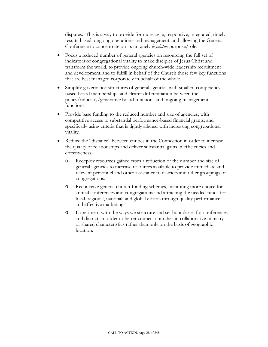disputes. This is a way to provide for more agile, responsive, integrated, timely, results-based, ongoing operations and management, and allowing the General Conference to concentrate on its uniquely *legislative* purpose/role.

- Focus a reduced number of general agencies on resourcing the full set of indicators of congregational vitality to make disciples of Jesus Christ and transform the world, to provide ongoing church-wide leadership recruitment and development, and to fulfill in behalf of the Church those few key functions that are best managed corporately in behalf of the whole.
- Simplify governance structures of general agencies with smaller, competencybased board memberships and clearer differentiation between the policy/fiduciary/generative board functions and ongoing management functions.
- Provide base funding to the reduced number and size of agencies, with competitive access to substantial performance-based financial grants, and specifically using criteria that is tightly aligned with increasing congregational vitality.
- Reduce the "distance" between entities in the Connection in order to increase the quality of relationships and deliver substantial gains in efficiencies and effectiveness.
	- o Redeploy resources gained from a reduction of the number and size of general agencies to increase resources available to provide immediate and relevant personnel and other assistance to districts and other groupings of congregations.
	- o Reconceive general church-funding schemes, instituting more choice for annual conferences and congregations and attracting the needed funds for local, regional, national, and global efforts through quality performance and effective marketing.
	- o Experiment with the ways we structure and set boundaries for conferences and districts in order to better connect churches in collaborative ministry or shared characteristics rather than only on the basis of geographic location.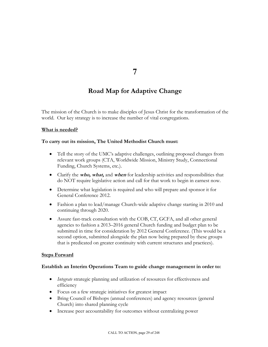**7** 

# **Road Map for Adaptive Change**

The mission of the Church is to make disciples of Jesus Christ for the transformation of the world. Our key strategy is to increase the number of vital congregations.

#### **What is needed?**

#### **To carry out its mission, The United Methodist Church must:**

- Tell the story of the UMC's adaptive challenges, outlining proposed changes from relevant work groups (CTA, Worldwide Mission, Ministry Study, Connectional Funding, Church Systems, etc.).
- Clarify the **who, what,** and **when** for leadership activities and responsibilities that do NOT require legislative action and call for that work to begin in earnest now.
- Determine what legislation is required and who will prepare and sponsor it for General Conference 2012.
- Fashion a plan to lead/manage Church-wide adaptive change starting in 2010 and continuing through 2020.
- Assure fast-track consultation with the COB, CT, GCFA, and all other general agencies to fashion a 2013–2016 general Church funding and budget plan to be submitted in time for consideration by 2012 General Conference. (This would be a second option, submitted alongside the plan now being prepared by these groups that is predicated on greater continuity with current structures and practices).

#### **Steps Forward**

#### **Establish an Interim Operations Team to guide change management in order to:**

- *Integrate* strategic planning and utilization of resources for effectiveness and efficiency
- Focus on a few strategic initiatives for greatest impact
- Bring Council of Bishops (annual conferences) and agency resources (general Church) into shared planning cycle
- Increase peer accountability for outcomes without centralizing power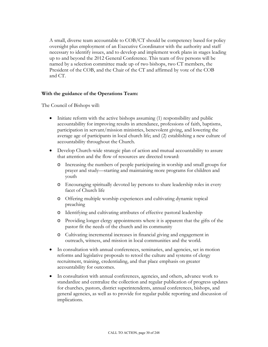A small, diverse team accountable to COB/CT should be competency based for policy oversight plus employment of an Executive Coordinator with the authority and staff necessary to identify issues, and to develop and implement work plans in stages leading up to and beyond the 2012 General Conference. This team of five persons will be named by a selection committee made up of two bishops, two CT members, the President of the COB, and the Chair of the CT and affirmed by vote of the COB and CT.

#### **With the guidance of the Operations Team:**

The Council of Bishops will:

- Initiate reform with the active bishops assuming (1) responsibility and public accountability for improving results in attendance, professions of faith, baptisms, participation in servant/mission ministries, benevolent giving, and lowering the average age of participants in local church life; and (2) establishing a new culture of accountability throughout the Church.
- Develop Church-wide strategic plan of action and mutual accountability to assure that attention and the flow of resources are directed toward:
	- o Increasing the numbers of people participating in worship and small groups for prayer and study—starting and maintaining more programs for children and youth
	- o Encouraging spiritually devoted lay persons to share leadership roles in every facet of Church life
	- o Offering multiple worship experiences and cultivating dynamic topical preaching
	- o Identifying and cultivating attributes of effective pastoral leadership
	- o Providing longer clergy appointments where it is apparent that the gifts of the pastor fit the needs of the church and its community
	- o Cultivating incremental increases in financial giving and engagement in outreach, witness, and mission in local communities and the world.
- In consultation with annual conferences, seminaries, and agencies, set in motion reforms and legislative proposals to retool the culture and systems of clergy recruitment, training, credentialing, and that place emphasis on greater accountability for outcomes.
- In consultation with annual conferences, agencies, and others, advance work to standardize and centralize the collection and regular publication of progress updates for churches, pastors, district superintendents, annual conferences, bishops, and general agencies, as well as to provide for regular public reporting and discussion of implications.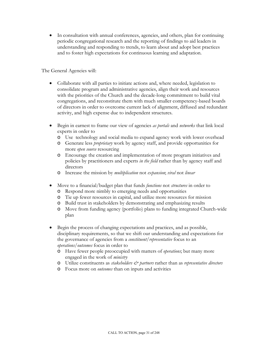• In consultation with annual conferences, agencies, and others, plan for continuing periodic congregational research and the reporting of findings to aid leaders in understanding and responding to trends, to learn about and adopt best practices and to foster high expectations for continuous learning and adaptation.

The General Agencies will:

- Collaborate with all parties to initiate actions and, where needed, legislation to consolidate program and administrative agencies, align their work and resources with the priorities of the Church and the decade-long commitment to build vital congregations, and reconstitute them with much smaller competency-based boards of directors in order to overcome current lack of alignment, diffused and redundant activity, and high expense due to independent structures.
- Begin in earnest to frame our view of agencies *as portals* and *networks* that link local experts in order to
	- o Use technology and social media to expand agency work with lower overhead
	- o Generate less *proprietary* work by agency staff, and provide opportunities for more *open source* resourcing
	- o Encourage the creation and implementation of more program initiatives and policies by practitioners and experts *in the field* rather than by agency staff and directors
	- o Increase the mission by *multiplication* not *expansion*; *viral* not *linear*
- Move to a financial/budget plan that funds *functions* not *structures* in order to
	- o Respond more nimbly to emerging needs and opportunities
	- o Tie up fewer resources in capital, and utilize more resources for mission
	- o Build trust in stakeholders by demonstrating and emphasizing results
	- o Move from funding agency (portfolio) plans to funding integrated Church-wide plan
- Begin the process of changing expectations and practices, and as possible, disciplinary requirements, so that we shift our understanding and expectations for the governance of agencies from a *constituent/representative* focus to an *operations/outcomes* focus in order to
	- o Have fewer people preoccupied with matters of *operations*; but many more engaged in the work of *ministry*
	- o Utilize constituents as *stakeholders & partners* rather than as *representative directors*
	- o Focus more on *outcomes* than on inputs and activities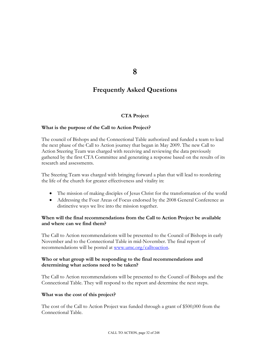**8** 

# **Frequently Asked Questions**

#### **CTA Project**

#### **What is the purpose of the Call to Action Project?**

The council of Bishops and the Connectional Table authorized and funded a team to lead the next phase of the Call to Action journey that began in May 2009. The new Call to Action Steering Team was charged with receiving and reviewing the data previously gathered by the first CTA Committee and generating a response based on the results of its research and assessments.

The Steering Team was charged with bringing forward a plan that will lead to reordering the life of the church for greater effectiveness and vitality in:

- The mission of making disciples of Jesus Christ for the transformation of the world
- Addressing the Four Areas of Focus endorsed by the 2008 General Conference as distinctive ways we live into the mission together.

#### **When will the final recommendations from the Call to Action Project be available and where can we find them?**

The Call to Action recommendations will be presented to the Council of Bishops in early November and to the Connectional Table in mid-November. The final report of recommendations will be posted at [www.umc.org/calltoaction](http://www.umc.org/calltoaction).

#### **Who or what group will be responding to the final recommendations and determining what actions need to be taken?**

The Call to Action recommendations will be presented to the Council of Bishops and the Connectional Table. They will respond to the report and determine the next steps.

#### **What was the cost of this project?**

The cost of the Call to Action Project was funded through a grant of \$500,000 from the Connectional Table.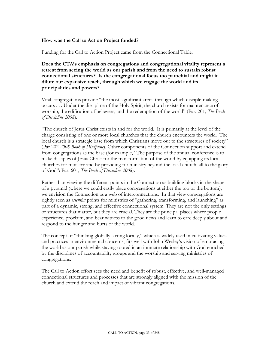#### **How was the Call to Action Project funded?**

Funding for the Call to Action Project came from the Connectional Table.

**Does the CTA's emphasis on congregations and congregational vitality represent a retreat from seeing the world as our parish and from the need to sustain robust connectional structures? Is the congregational focus too parochial and might it dilute our expansive reach, through which we engage the world and its principalities and powers?** 

Vital congregations provide "the most significant arena through which disciple-making occurs . . . Under the discipline of the Holy Spirit, the church exists for maintenance of worship, the edification of believers, and the redemption of the world" (Par. 201, *The Book of Discipline 2008*).

"The church of Jesus Christ exists in and for the world. It is primarily at the level of the charge consisting of one or more local churches that the church encounters the world. The local church is a strategic base from which Christians move out to the structures of society" (Par 202 *2008 Book of Discipline*). Other components of the Connection support and extend from congregations as the base (for example, "The purpose of the annual conference is to make disciples of Jesus Christ for the transformation of the world by equipping its local churches for ministry and by providing for ministry beyond the local church; all to the glory of God": Par. 601, *The Book of Discipline 2008*).

Rather than viewing the different points in the Connection as building blocks in the shape of a pyramid (where we could easily place congregations at either the top or the bottom), we envision the Connection as a web of interconnections. In that view congregations are rightly seen as *essential* points for ministries of "gathering, transforming, and launching" as part of a dynamic, strong, and effective connectional system. They are not the only settings or structures that matter, but they are crucial. They are the principal places where people experience, proclaim, and bear witness to the good news and learn to care deeply about and respond to the hunger and hurts of the world.

The concept of "thinking globally, acting locally," which is widely used in cultivating values and practices in environmental concerns, fits well with John Wesley's vision of embracing the world as our parish while staying rooted in an intimate relationship with God enriched by the disciplines of accountability groups and the worship and serving ministries of congregations.

The Call to Action effort sees the need and benefit of robust, effective, and well-managed connectional structures and processes that are strongly aligned with the mission of the church and extend the reach and impact of vibrant congregations.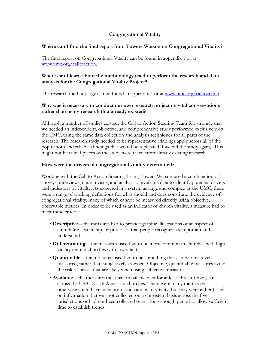#### **Congregational Vitality**

#### **Where can I find the final report from Towers Watson on Congregational Vitality?**

The final report on Congregational Vitality can be found in appendix 1 or at [www.umc.org/calltoaction](http://www.umc.org/calltoaction).

#### **Where can I learn about the methodology used to perform the research and data analysis for the Congregational Vitality Project?**

The research methodology can be found in appendix 4 or at [www.umc.org/calltoaction.](http://www.umc.org/calltoaction)

#### **Why was it necessary to conduct our own research project on vital congregations rather than using research that already existed?**

Although a number of studies existed, the Call to Action Steering Team felt strongly that we needed an independent, objective, and comprehensive study performed exclusively on the UMC, using the same data collection and analysis techniques for all parts of the research. The research study needed to be representative (findings apply across all of the population) and reliable (findings that would be replicated if we did the study again). This might not be true if pieces of the study were taken from already existing research.

#### **How were the drivers of congregational vitality determined?**

Working with the Call to Action Steering Team, Towers Watson used a combination of surveys, interviews, church visits, and analysis of available data to identify potential drivers and indicators of vitality. As expected in a system as large and complex as the UMC, there were a range of working definitions for what should and does constitute the evidence of congregational vitality, many of which cannot be measured directly using objective, observable metrics. In order to be used as an indicator of church vitality, a measure had to meet these criteria:

- **Descriptive**—the measures had to provide graphic illustrations of an aspect of church life, leadership, or processes that people recognize as important and understand.
- **Differentiating**—the measures used had to be more common in churches with high vitality than in churches with low vitality.
- **Quantifiable**—the measures used had to be something that can be objectively measured, rather than subjectively assessed. Objective, quantifiable measures avoid the risk of biases that are likely when using subjective measures.
- **Available**—the measures must have available data for at least three to five years across the UMC North American churches. There were many metrics that otherwise could have been useful indications of vitality, but they were either based on information that was not collected on a consistent basis across the five jurisdictions or had not been collected over a long enough period to allow sufficient time to establish trends.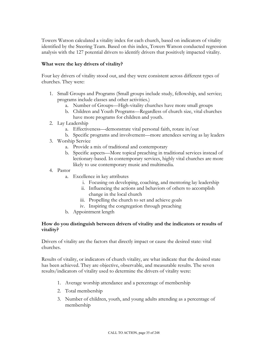Towers Watson calculated a vitality index for each church, based on indicators of vitality identified by the Steering Team. Based on this index, Towers Watson conducted regression analysis with the 127 potential drivers to identify drivers that positively impacted vitality.

#### **What were the key drivers of vitality?**

Four key drivers of vitality stood out, and they were consistent across different types of churches. They were:

- 1. Small Groups and Programs (Small groups include study, fellowship, and service; programs include classes and other activities.)
	- a. Number of Groups—High-vitality churches have more small groups
	- b. Children and Youth Programs—Regardless of church size, vital churches have more programs for children and youth.
- 2. Lay Leadership
	- a. Effectiveness—demonstrate vital personal faith, rotate in/out
	- b. Specific programs and involvement—more attendees serving as lay leaders
- 3. Worship Service
	- a. Provide a mix of traditional and contemporary
	- b. Specific aspects—More topical preaching in traditional services instead of lectionary-based. In contemporary services, highly vital churches are more likely to use contemporary music and multimedia.
- 4. Pastor
	- a. Excellence in key attributes
		- i. Focusing on developing, coaching, and mentoring lay leadership
		- ii. Influencing the actions and behaviors of others to accomplish change in the local church
		- iii. Propelling the church to set and achieve goals
		- iv. Inspiring the congregation through preaching
	- b. Appointment length

#### **How do you distinguish between drivers of vitality and the indicators or results of vitality?**

Drivers of vitality are the factors that directly impact or cause the desired state: vital churches.

Results of vitality, or indicators of church vitality, are what indicate that the desired state has been achieved. They are objective, observable, and measurable results. The seven results/indicators of vitality used to determine the drivers of vitality were:

- 1. Average worship attendance and a percentage of membership
- 2. Total membership
- 3. Number of children, youth, and young adults attending as a percentage of membership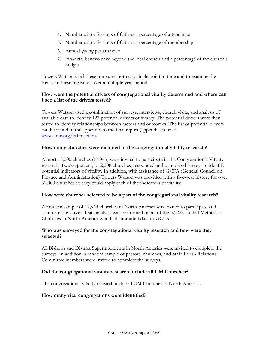- 4. Number of professions of faith as a percentage of attendance
- 5. Number of professions of faith as a percentage of membership
- 6. Annual giving per attendee
- 7. Financial benevolence beyond the local church and a percentage of the church's budget

Towers Watson used these measures both at a single point in time and to examine the trends in these measures over a multiple-year period.

#### **How were the potential drivers of congregational vitality determined and where can I see a list of the drivers tested?**

Towers Watson used a combination of surveys, interviews, church visits, and analysis of available data to identify 127 potential drivers of vitality. The potential drivers were then tested to identify relationships between factors and outcomes. The list of potential drivers can be found in the appendix to the final report (appendix 5) or at [www.umc.org/calltoaction](http://www.umc.org/calltoaction).

#### **How many churches were included in the congregational vitality research?**

Almost 18,000 churches (17,943) were invited to participate in the Congregational Vitality research. Twelve percent, or 2,208 churches, responded and completed surveys to identify potential indicators of vitality. In addition, with assistance of GCFA (General Council on Finance and Administration) Towers Watson was provided with a five-year history for over 32,000 churches so they could apply each of the indicators of vitality.

#### **How were churches selected to be a part of the congregational vitality research?**

A random sample of 17,943 churches in North America was invited to participate and complete the survey. Data analysis was performed on all of the 32,228 United Methodist Churches in North America who had submitted data to GCFA.

#### **Who was surveyed for the congregational vitality research and how were they selected?**

All Bishops and District Superintendents in North America were invited to complete the surveys. In addition, a random sample of pastors, churches, and Staff-Parish Relations Committee members were invited to complete the surveys.

#### **Did the congregational vitality research include all UM Churches?**

The congregational vitality research included UM Churches in North America.

#### **How many vital congregations were identified?**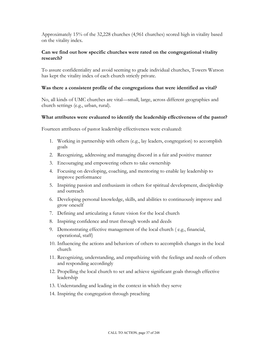Approximately 15% of the 32,228 churches (4,961 churches) scored high in vitality based on the vitality index.

#### **Can we find out how specific churches were rated on the congregational vitality research?**

To assure confidentiality and avoid seeming to grade individual churches, Towers Watson has kept the vitality index of each church strictly private.

#### **Was there a consistent profile of the congregations that were identified as vital?**

No, all kinds of UMC churches are vital—small, large, across different geographies and church settings (e.g., urban, rural).

#### **What attributes were evaluated to identify the leadership effectiveness of the pastor?**

Fourteen attributes of pastor leadership effectiveness were evaluated:

- 1. Working in partnership with others (e.g., lay leaders, congregation) to accomplish goals
- 2. Recognizing, addressing and managing discord in a fair and positive manner
- 3. Encouraging and empowering others to take ownership
- 4. Focusing on developing, coaching, and mentoring to enable lay leadership to improve performance
- 5. Inspiring passion and enthusiasm in others for spiritual development, discipleship and outreach
- 6. Developing personal knowledge, skills, and abilities to continuously improve and grow oneself
- 7. Defining and articulating a future vision for the local church
- 8. Inspiring confidence and trust through words and deeds
- 9. Demonstrating effective management of the local church ( e.g., financial, operational, staff)
- 10. Influencing the actions and behaviors of others to accomplish changes in the local church
- 11. Recognizing, understanding, and empathizing with the feelings and needs of others and responding accordingly
- 12. Propelling the local church to set and achieve significant goals through effective leadership
- 13. Understanding and leading in the context in which they serve
- 14. Inspiring the congregation through preaching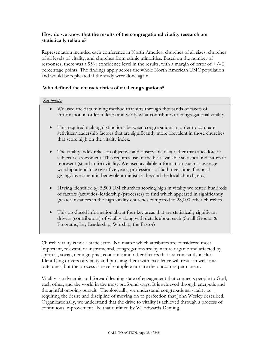#### **How do we know that the results of the congregational vitality research are statistically reliable?**

Representation included each conference in North America, churches of all sizes, churches of all levels of vitality, and churches from ethnic minorities. Based on the number of responses, there was a 95% confidence level in the results, with a margin of error of  $+/- 2$ percentage points. The findings apply across the whole North American UMC population and would be replicated if the study were done again.

#### **Who defined the characteristics of vital congregations?**

| <u>Key points:</u>                                                                                                                                                                                                                                                                                                                                                                                                                |  |  |  |
|-----------------------------------------------------------------------------------------------------------------------------------------------------------------------------------------------------------------------------------------------------------------------------------------------------------------------------------------------------------------------------------------------------------------------------------|--|--|--|
| We used the data mining method that sifts through thousands of facets of<br>information in order to learn and verify what contributes to congregational vitality.                                                                                                                                                                                                                                                                 |  |  |  |
| This required making distinctions between congregations in order to compare<br>activities/leadership factors that are significantly more prevalent in those churches<br>that score high on the vitality index.                                                                                                                                                                                                                    |  |  |  |
| The vitality index relies on objective and observable data rather than anecdote or<br>subjective assessment. This requires use of the best available statistical indicators to<br>represent (stand in for) vitality. We used available information (such as average<br>worship attendance over five years, professions of faith over time, financial<br>giving/investment in benevolent ministries beyond the local church, etc.) |  |  |  |
| Having identified $(2)$ 5,500 UM churches scoring high in vitality we tested hundreds<br>$\bullet$<br>of factors (activities/leadership/processes) to find which appeared in significantly<br>greater instances in the high vitality churches compared to 28,000 other churches.                                                                                                                                                  |  |  |  |
| This produced information about four key areas that are statistically significant<br>$\bullet$<br>drivers (contributors) of vitality along with details about each (Small Groups &<br>Programs, Lay Leadership, Worship, the Pastor)                                                                                                                                                                                              |  |  |  |

Church vitality is not a static state. No matter which attributes are considered most important, relevant, or instrumental, congregations are by nature organic and affected by spiritual, social, demographic, economic and other factors that are constantly in flux. Identifying drivers of vitality and pursuing them with excellence will result in welcome outcomes, but the process is never complete nor are the outcomes permanent.

Vitality is a dynamic and forward leaning state of engagement that connects people to God, each other, and the world in the most profound ways. It is achieved through energetic and thoughtful ongoing pursuit. Theologically, we understand congregational vitality as requiring the desire and discipline of moving on to perfection that John Wesley described. Organizationally, we understand that the drive to vitality is achieved through a process of continuous improvement like that outlined by W. Edwards Deming.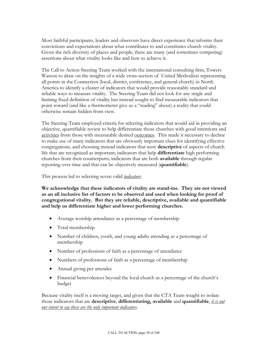Most faithful participants, leaders and observers have direct experience that informs their convictions and expectations about what contributes to and constitutes church vitality. Given the rich diversity of places and people, there are many (and sometimes competing) assertions about what vitality looks like and how to achieve it.

The Call to Action Steering Team worked with the international consulting firm, Towers Watson to draw on the insights of a wide cross-section of United Methodists representing all points in the Connection (local, district, conference, and general church) in North America to identify a cluster of indicators that would provide reasonably standard and reliable ways to measure vitality. The Steering Team did not look for any single and limiting fixed definition of vitality but instead sought to find measurable indicators that point toward (and like a thermometer give us a "reading" about) a reality that could otherwise remain hidden from view.

The Steering Team employed criteria for selecting indicators that would aid in providing an objective, quantifiable review to help differentiate those churches with good intentions and activities from those with measurable desired outcomes. This made it necessary to decline to make use of many indicators that are obviously important clues for identifying effective congregations, and choosing instead indicators that were **descriptive** of aspects of church life that are recognized as important; indicators that help **differentiate** high performing churches from their counterparts; indicators that are both **available** through regular reporting over time and that can be objectively measured (**quantifiable**).

This process led to selecting seven valid *indicators*:

**We acknowledge that these indicators of vitality are stand-ins. They are not viewed as an all inclusive list of factors to be observed and used when looking for proof of congregational vitality. But they are reliable, descriptive, available and quantifiable and help us differentiate higher and lower performing churches.** 

- Average worship attendance as a percentage of membership
- Total membership
- Number of children, youth, and young adults attending as a percentage of membership
- Number of professions of faith as a percentage of attendance
- Numbers of professions of faith as a percentage of membership
- Annual giving per attendee
- Financial benevolences beyond the local church as a percentage of the church's budget

Because vitality itself is a moving target, and given that the CTA Team sought to isolate those indicators that are **descriptive**, **differentiating, available** and **quantifiable**, *it is not our intent to say these are the only important indicators*.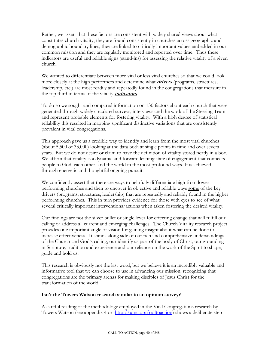Rather, we assert that these factors are consistent with widely shared views about what constitutes church vitality, they are found consistently in churches across geographic and demographic boundary lines, they are linked to critically important values embedded in our common mission and they are regularly monitored and reported over time. Thus these indicators are useful and reliable signs (stand-ins) for assessing the relative vitality of a given church.

We wanted to differentiate between more vital or less vital churches so that we could look more closely at the high performers and determine what **drivers** (programs, structures, leadership, etc.) are most readily and repeatedly found in the congregations that measure in the top third in terms of the vitality **indicators**.

To do so we sought and compared information on 130 factors about each church that were generated through widely circulated surveys, interviews and the work of the Steering Team and represent probable elements for fostering vitality. With a high degree of statistical reliability this resulted in mapping significant distinctive variations that are consistently prevalent in vital congregations.

This approach gave us a credible way to identify and learn from the most vital churches (about 5,500 of 33,000) looking at the data both at single points in time and over several years. But we do not desire or claim to have the definition of vitality stored neatly in a box. We affirm that vitality is a dynamic and forward leaning state of engagement that connects people to God, each other, and the world in the most profound ways. It is achieved through energetic and thoughtful ongoing pursuit.

We confidently assert that there are ways to helpfully differentiate high from lower performing churches and then to uncover in objective and reliable ways some of the key drivers (programs, structures, leadership) that are repeatedly and reliably found in the higher performing churches. This in turn provides evidence for those with eyes to see of what several critically important interventions/actions when taken fostering the desired vitality.

Our findings are not the silver bullet or single lever for effecting change that will fulfill our calling or address all current and emerging challenges. The Church Vitality research project provides one important angle of vision for gaining insight about what can be done to increase effectiveness. It stands along side of our rich and comprehensive understandings of the Church and God's calling, our identify as part of the body of Christ, our grounding in Scripture, tradition and experience and our reliance on the work of the Spirit to shape, guide and hold us.

This research is obviously not the last word, but we believe it is an incredibly valuable and informative tool that we can choose to use in advancing our mission, recognizing that congregations are the primary arenas for making disciples of Jesus Christ for the transformation of the world.

#### **Isn't the Towers Watson research similar to an opinion survey?**

A careful reading of the methodology employed in the Vital Congregations research by Towers Watson (see appendix 4 or <http://umc.org/calltoaction>) shows a deliberate step-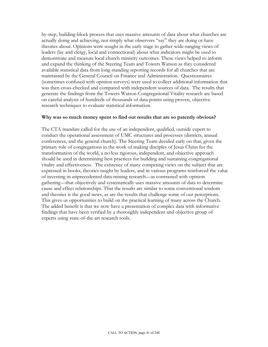by-step, building-block process that uses massive amounts of data about what churches are actually doing and achieving, not simply what observers "say" they are doing or have theories about. Opinions were sought in the early stage to gather wide-ranging views of leaders (lay and clergy, local and connectional) about what indicators might be used to demonstrate and measure local church ministry outcomes. These views helped to inform and expand the thinking of the Steering Team and Towers Watson as they considered available statistical data from long-standing reporting records for all churches that are maintained by the General Council on Finance and Administration. Questionnaires (sometimes confused with opinion surveys) were used to collect additional information that was then cross-checked and compared with independent sources of data. The results that generate the findings from the Towers Watson Congregational Vitality research are based on careful analysis of hundreds of thousands of data points using proven, objective research techniques to evaluate statistical information.

#### **Why was so much money spent to find out results that are so patently obvious?**

The CTA mandate called for the use of an independent, qualified, outside expert to conduct the operational assessment of UMC structures and processes (districts, annual conferences, and the general church). The Steering Team decided early on that, given the primary role of congregations in the work of making disciples of Jesus Christ for the transformation of the world, a no less rigorous, independent, and objective approach should be used in determining best practices for building and sustaining congregational vitality and effectiveness. The existence of many competing views on the subject that are expressed in books, theories taught by leaders, and in various programs reinforced the value of investing in unprecedented data-mining research—as contrasted with opinion gathering—that objectively and systematically uses massive amounts of data to determine cause and effect relationships. That the results are similar to some conventional wisdom and theories is the good news, as are the results that challenge some of our perceptions. This gives us opportunities to build on the practical learning of many across the Church. The added benefit is that we now have a presentation of complex data with informative findings that have been verified by a thoroughly independent and objective group of experts using state-of-the-art research tools.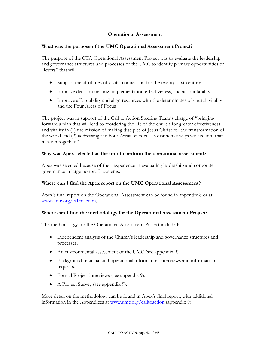#### **Operational Assessment**

#### **What was the purpose of the UMC Operational Assessment Project?**

The purpose of the CTA Operational Assessment Project was to evaluate the leadership and governance structures and processes of the UMC to identify primary opportunities or "levers" that will:

- Support the attributes of a vital connection for the twenty-first century
- Improve decision making, implementation effectiveness, and accountability
- Improve affordability and align resources with the determinates of church vitality and the Four Areas of Focus

The project was in support of the Call to Action Steering Team's charge of "bringing forward a plan that will lead to reordering the life of the church for greater effectiveness and vitality in (1) the mission of making disciples of Jesus Christ for the transformation of the world and (2) addressing the Four Areas of Focus as distinctive ways we live into that mission together."

#### **Why was Apex selected as the firm to perform the operational assessment?**

Apex was selected because of their experience in evaluating leadership and corporate governance in large nonprofit systems.

#### **Where can I find the Apex report on the UMC Operational Assessment?**

Apex's final report on the Operational Assessment can be found in appendix 8 or at [www.umc.org/calltoaction](http://www.umc.org/calltoaction).

#### **Where can I find the methodology for the Operational Assessment Project?**

The methodology for the Operational Assessment Project included:

- Independent analysis of the Church's leadership and governance structures and processes.
- An environmental assessment of the UMC (see appendix 9).
- Background financial and operational information interviews and information requests.
- Formal Project interviews (see appendix 9).
- A Project Survey (see appendix 9).

More detail on the methodology can be found in Apex's final report, with additional information in the Appendices at [www.umc.org/calltoaction](http://www.umc.org/calltoaction) (appendix 9).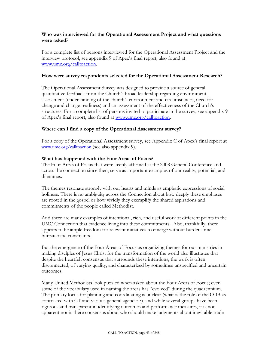#### **Who was interviewed for the Operational Assessment Project and what questions were asked?**

For a complete list of persons interviewed for the Operational Assessment Project and the interview protocol, see appendix 9 of Apex's final report, also found at [www.umc.org/calltoaction](http://www.umc.org/calltoaction).

#### **How were survey respondents selected for the Operational Assessment Research?**

The Operational Assessment Survey was designed to provide a source of general quantitative feedback from the Church's broad leadership regarding environment assessment (understanding of the church's environment and circumstances, need for change and change readiness) and an assessment of the effectiveness of the Church's structures. For a complete list of persons invited to participate in the survey, see appendix 9 of Apex's final report, also found at [www.umc.org/calltoaction](http://www.umc.org/calltoaction).

#### **Where can I find a copy of the Operational Assessment survey?**

For a copy of the Operational Assessment survey, see Appendix C of Apex's final report at [www.umc.org/calltoaction](http://www.umc.org/calltoaction%20(see) (see also appendix 9).

#### **What has happened with the Four Areas of Focus?**

The Four Areas of Focus that were keenly affirmed at the 2008 General Conference and across the connection since then, serve as important examples of our reality, potential, and dilemmas.

The themes resonate strongly with our hearts and minds as emphatic expressions of social holiness. There is no ambiguity across the Connection about how deeply these emphases are rooted in the gospel or how vividly they exemplify the shared aspirations and commitments of the people called Methodist.

And there are many examples of intentional, rich, and useful work at different points in the UMC Connection that evidence living into these commitments. Also, thankfully, there appears to be ample freedom for relevant initiatives to emerge without burdensome bureaucratic constraints.

But the emergence of the Four Areas of Focus as organizing themes for our ministries in making disciples of Jesus Christ for the transformation of the world also illustrates that despite the heartfelt consensus that surrounds these intentions, the work is often disconnected, of varying quality, and characterized by sometimes unspecified and uncertain outcomes.

Many United Methodists look puzzled when asked about the Four Areas of Focus; even some of the vocabulary used in naming the areas has "evolved" during the quadrennium. The primary locus for planning and coordinating is unclear (what is the role of the COB as contrasted with CT and various general agencies?), and while several groups have been rigorous and transparent in identifying outcomes and performance measures, it is not apparent nor is there consensus about who should make judgments about inevitable trade